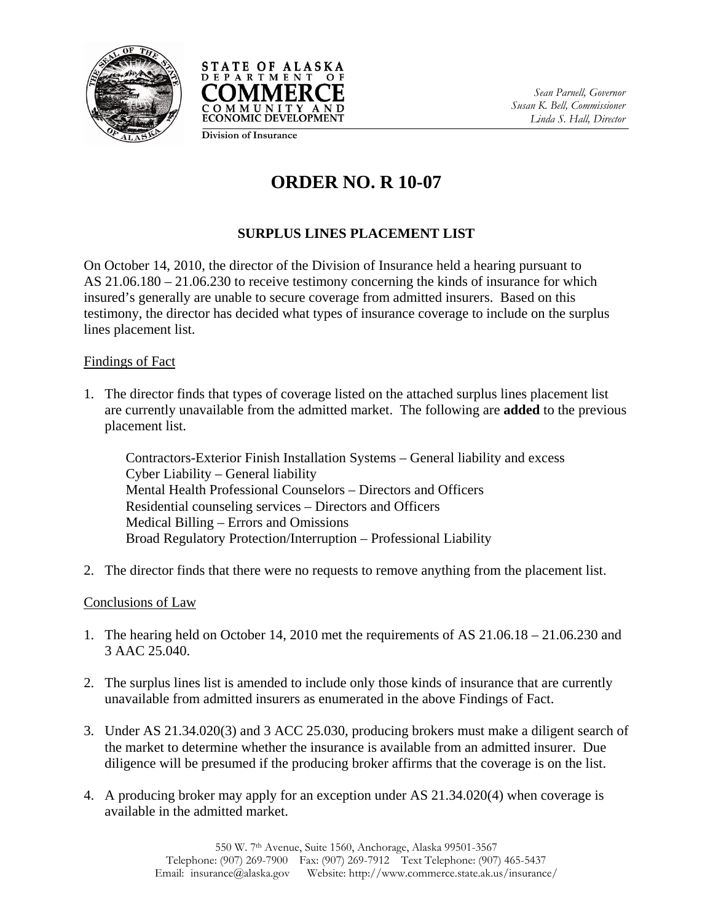



*Sean Parnell, Governor Susan K. Bell, Commissioner Linda S. Hall, Director* 

**Division of Insurance**

## **ORDER NO. R 10-07**

## **SURPLUS LINES PLACEMENT LIST**

On October 14, 2010, the director of the Division of Insurance held a hearing pursuant to AS 21.06.180 – 21.06.230 to receive testimony concerning the kinds of insurance for which insured's generally are unable to secure coverage from admitted insurers. Based on this testimony, the director has decided what types of insurance coverage to include on the surplus lines placement list.

## Findings of Fact

1. The director finds that types of coverage listed on the attached surplus lines placement list are currently unavailable from the admitted market. The following are **added** to the previous placement list.

Contractors-Exterior Finish Installation Systems – General liability and excess Cyber Liability – General liability Mental Health Professional Counselors – Directors and Officers Residential counseling services – Directors and Officers Medical Billing – Errors and Omissions Broad Regulatory Protection/Interruption – Professional Liability

2. The director finds that there were no requests to remove anything from the placement list.

## Conclusions of Law

- 1. The hearing held on October 14, 2010 met the requirements of AS 21.06.18 21.06.230 and 3 AAC 25.040.
- 2. The surplus lines list is amended to include only those kinds of insurance that are currently unavailable from admitted insurers as enumerated in the above Findings of Fact.
- 3. Under AS 21.34.020(3) and 3 ACC 25.030, producing brokers must make a diligent search of the market to determine whether the insurance is available from an admitted insurer. Due diligence will be presumed if the producing broker affirms that the coverage is on the list.
- 4. A producing broker may apply for an exception under AS 21.34.020(4) when coverage is available in the admitted market.